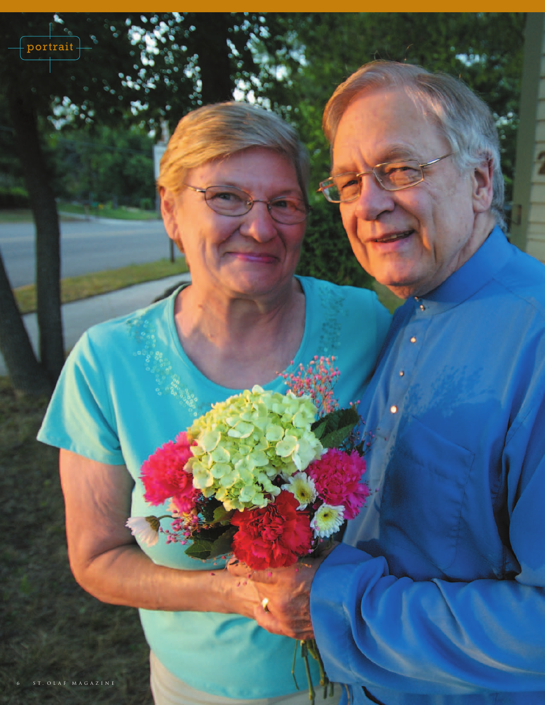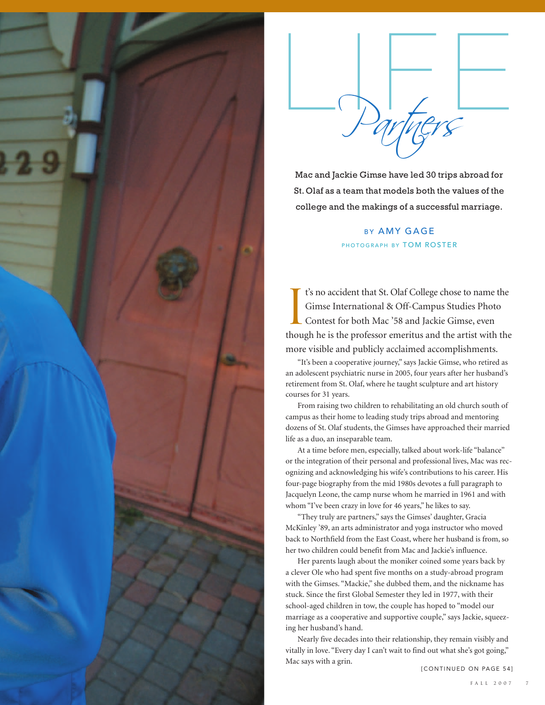



Mac and Jackie Gimse have led 30 trips abroad for St. Olaf as a team that models both the values of the college and the makings of a successful marriage.

# **BY AMY GAGE** PHOTOGRAPH BY TOM ROSTER

I t's no accident that St. Olaf College chose to name the Gimse International & Off-Campus Studies Photo Contest for both Mac '58 and Jackie Gimse, even though he is the professor emeritus and the artist with the more visible and publicly acclaimed accomplishments.

"It's been a cooperative journey," says Jackie Gimse, who retired as an adolescent psychiatric nurse in 2005, four years after her husband's retirement from St. Olaf, where he taught sculpture and art history courses for 31 years.

From raising two children to rehabilitating an old church south of campus as their home to leading study trips abroad and mentoring dozens of St. Olaf students, the Gimses have approached their married life as a duo, an inseparable team.

At a time before men, especially, talked about work-life "balance" or the integration of their personal and professional lives, Mac was recognizing and acknowledging his wife's contributions to his career. His four-page biography from the mid 1980s devotes a full paragraph to Jacquelyn Leone, the camp nurse whom he married in 1961 and with whom "I've been crazy in love for 46 years," he likes to say.

"They truly are partners," says the Gimses' daughter, Gracia McKinley '89, an arts administrator and yoga instructor who moved back to Northfield from the East Coast, where her husband is from, so her two children could benefit from Mac and Jackie's influence.

Her parents laugh about the moniker coined some years back by a clever Ole who had spent five months on a study-abroad program with the Gimses. "Mackie," she dubbed them, and the nickname has stuck. Since the first Global Semester they led in 1977, with their school-aged children in tow, the couple has hoped to "model our marriage as a cooperative and supportive couple," says Jackie, squeezing her husband's hand.

Nearly five decades into their relationship, they remain visibly and vitally in love. "Every day I can't wait to find out what she's got going," Mac says with a grin.

**ICONTINUED ON PAGE 541**